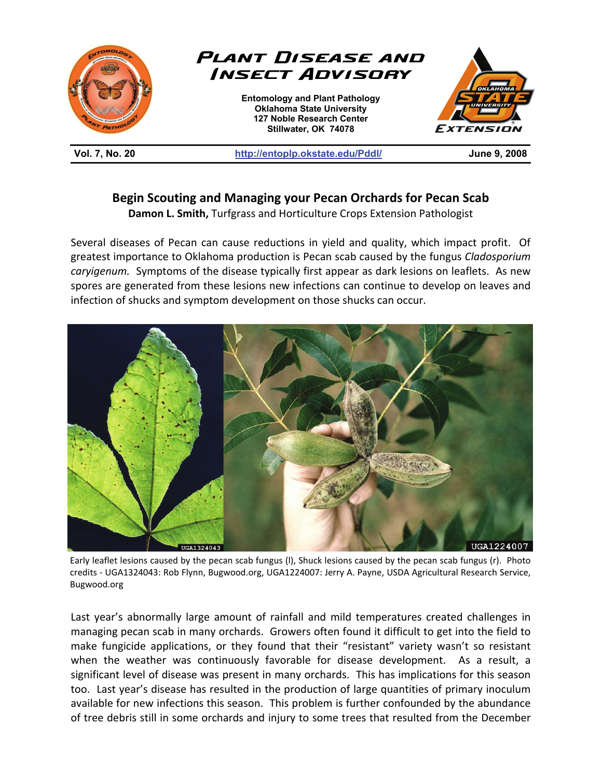

**Vol. 7, No. 20 http://entoplp.okstate.edu/Pddl/ June 9, 2008** 

## **Begin Scouting and Managing your Pecan Orchards for Pecan Scab**

**Damon L. Smith,** Turfgrass and Horticulture Crops Extension Pathologist

Several diseases of Pecan can cause reductions in yield and quality, which impact profit. Of greatest importance to Oklahoma production is Pecan scab caused by the fungus *Cladosporium caryigenum.* Symptoms of the disease typically first appear as dark lesions on leaflets. As new spores are generated from these lesions new infections can continue to develop on leaves and infection of shucks and symptom development on those shucks can occur.



Early leaflet lesions caused by the pecan scab fungus (l), Shuck lesions caused by the pecan scab fungus (r). Photo credits - UGA1324043: Rob Flynn, Bugwood.org, UGA1224007: Jerry A. Payne, USDA Agricultural Research Service, Bugwood.org

Last year's abnormally large amount of rainfall and mild temperatures created challenges in managing pecan scab in many orchards. Growers often found it difficult to get into the field to make fungicide applications, or they found that their "resistant" variety wasn't so resistant when the weather was continuously favorable for disease development. As a result, a significant level of disease was present in many orchards. This has implications for this season too. Last year's disease has resulted in the production of large quantities of primary inoculum available for new infections this season. This problem is further confounded by the abundance of tree debris still in some orchards and injury to some trees that resulted from the December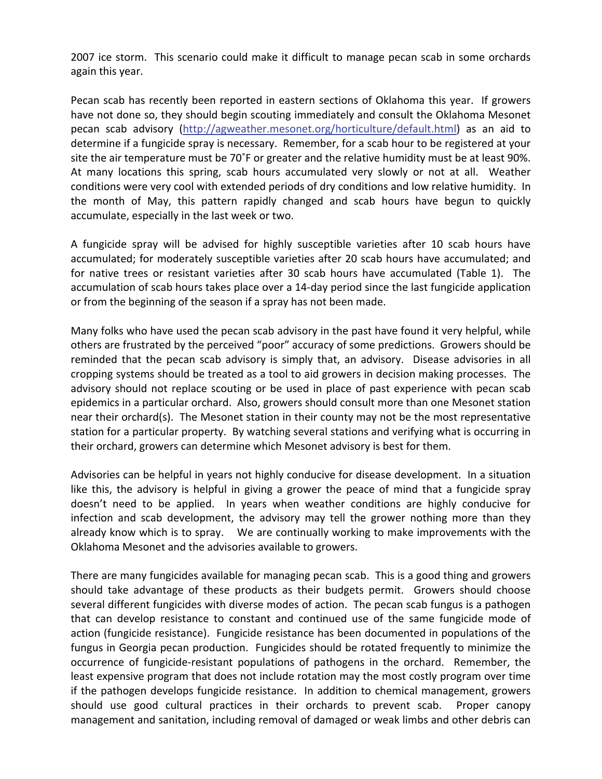2007 ice storm. This scenario could make it difficult to manage pecan scab in some orchards again this year.

Pecan scab has recently been reported in eastern sections of Oklahoma this year. If growers have not done so, they should begin scouting immediately and consult the Oklahoma Mesonet pecan scab advisory (http://agweather.mesonet.org/horticulture/default.html) as an aid to determine if a fungicide spray is necessary. Remember, for a scab hour to be registered at your site the air temperature must be 70˚F or greater and the relative humidity must be at least 90%. At many locations this spring, scab hours accumulated very slowly or not at all. Weather conditions were very cool with extended periods of dry conditions and low relative humidity. In the month of May, this pattern rapidly changed and scab hours have begun to quickly accumulate, especially in the last week or two.

A fungicide spray will be advised for highly susceptible varieties after 10 scab hours have accumulated; for moderately susceptible varieties after 20 scab hours have accumulated; and for native trees or resistant varieties after 30 scab hours have accumulated (Table 1). The accumulation of scab hours takes place over a 14-day period since the last fungicide application or from the beginning of the season if a spray has not been made.

Many folks who have used the pecan scab advisory in the past have found it very helpful, while others are frustrated by the perceived "poor" accuracy of some predictions. Growers should be reminded that the pecan scab advisory is simply that, an advisory. Disease advisories in all cropping systems should be treated as a tool to aid growers in decision making processes. The advisory should not replace scouting or be used in place of past experience with pecan scab epidemics in a particular orchard. Also, growers should consult more than one Mesonet station near their orchard(s). The Mesonet station in their county may not be the most representative station for a particular property. By watching several stations and verifying what is occurring in their orchard, growers can determine which Mesonet advisory is best for them.

Advisories can be helpful in years not highly conducive for disease development. In a situation like this, the advisory is helpful in giving a grower the peace of mind that a fungicide spray doesn't need to be applied. In years when weather conditions are highly conducive for infection and scab development, the advisory may tell the grower nothing more than they already know which is to spray. We are continually working to make improvements with the Oklahoma Mesonet and the advisories available to growers.

There are many fungicides available for managing pecan scab. This is a good thing and growers should take advantage of these products as their budgets permit. Growers should choose several different fungicides with diverse modes of action. The pecan scab fungus is a pathogen that can develop resistance to constant and continued use of the same fungicide mode of action (fungicide resistance). Fungicide resistance has been documented in populations of the fungus in Georgia pecan production. Fungicides should be rotated frequently to minimize the occurrence of fungicide-resistant populations of pathogens in the orchard. Remember, the least expensive program that does not include rotation may the most costly program over time if the pathogen develops fungicide resistance. In addition to chemical management, growers should use good cultural practices in their orchards to prevent scab. Proper canopy management and sanitation, including removal of damaged or weak limbs and other debris can